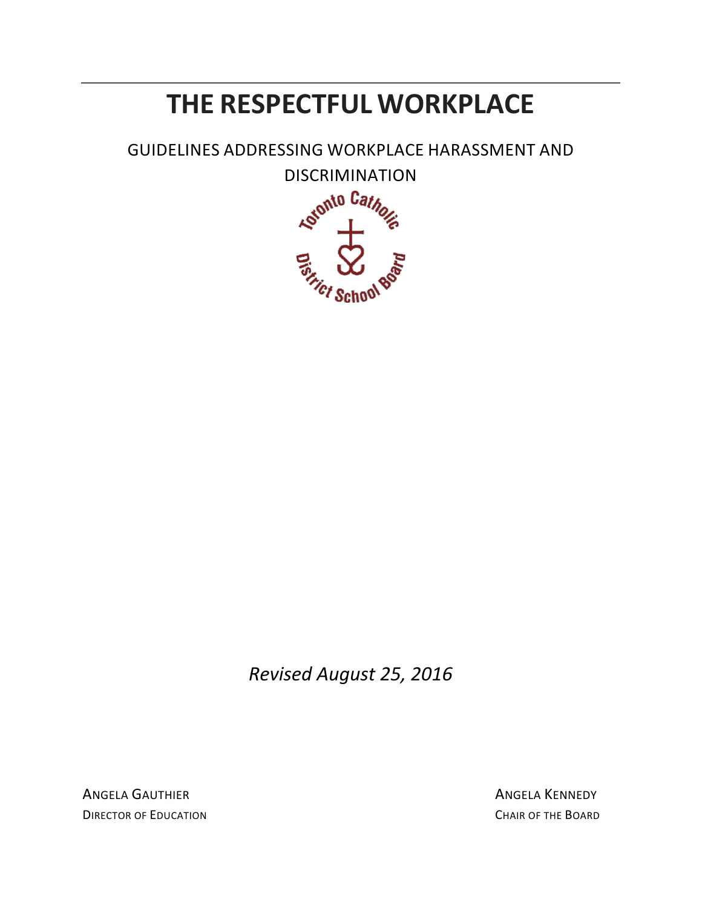# **THE RESPECTFUL WORKPLACE**

GUIDELINES ADDRESSING WORKPLACE HARASSMENT AND



*Revised August 25, 2016*

ANGELA GAUTHIER ANGELA KENNEDY **DIRECTOR OF EDUCATION** CHAIR OF THE BOARD CHAIR OF THE BOARD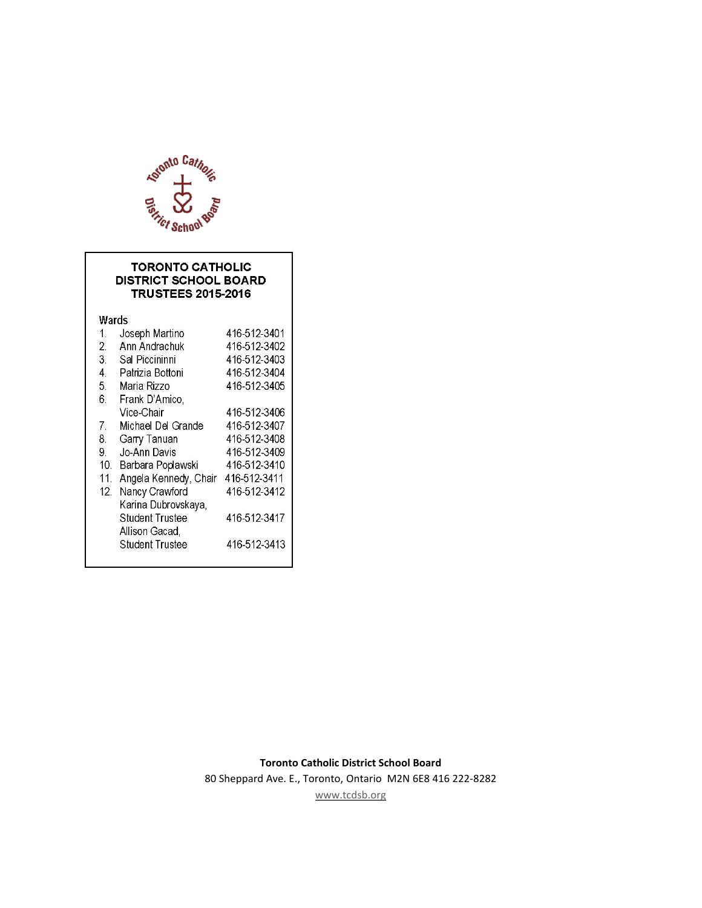

#### **TORONTO CATHOLIC DISTRICT SCHOOL BOARD TRUSTEES 2015-2016**

Wards

| $\mathbf{1}$ . | Joseph Martino         | 416 512 3401 |
|----------------|------------------------|--------------|
| 2.             | Ann Andrachuk          | 416-512-3402 |
| З.             | Sal Piccininni         | 416-512-3403 |
| 4.             | Patrizia Bottoni       | 416-512-3404 |
| 5.             | Maria Rizzo            | 416-512-3405 |
| 6.             | Frank D'Amico,         |              |
|                | Vice-Chair             | 416-512-3406 |
| 7.             | Michael Del Grande     | 416-512-3407 |
| 8.             | Garry Tanuan           | 416-512-3408 |
| 9.             | Jo-Ann Davis           | 416-512-3409 |
| 10.            | Barbara Poplawski      | 416-512-3410 |
| 11             | Angela Kennedy, Chair  | 416-512-3411 |
| 12.            | Nancy Crawford         | 416 512 3412 |
|                | Karina Dubrovskaya,    |              |
|                | <b>Student Trustee</b> | 416-512-3417 |
|                | Allison Gacad,         |              |
|                | <b>Student Trustee</b> | 416 512 3413 |
|                |                        |              |

80 Sheppard Ave. E., Toronto, Ontario M2N 6E8 416 222-8282

[www.tcdsb.org](http://www.tcdsb.org/)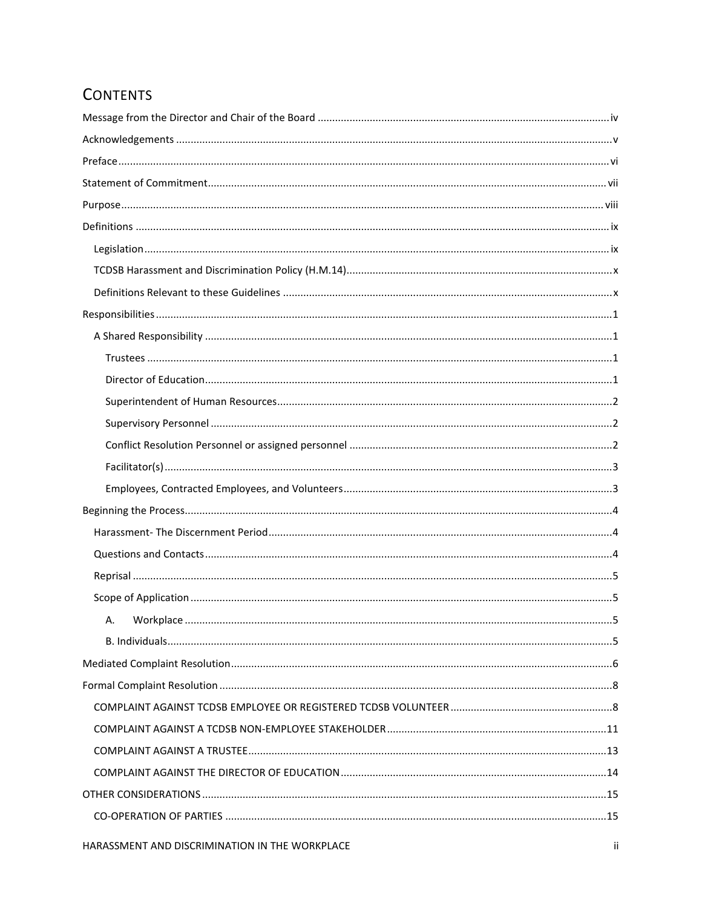# **CONTENTS**

| А. |  |
|----|--|
|    |  |
|    |  |
|    |  |
|    |  |
|    |  |
|    |  |
|    |  |
|    |  |
|    |  |
|    |  |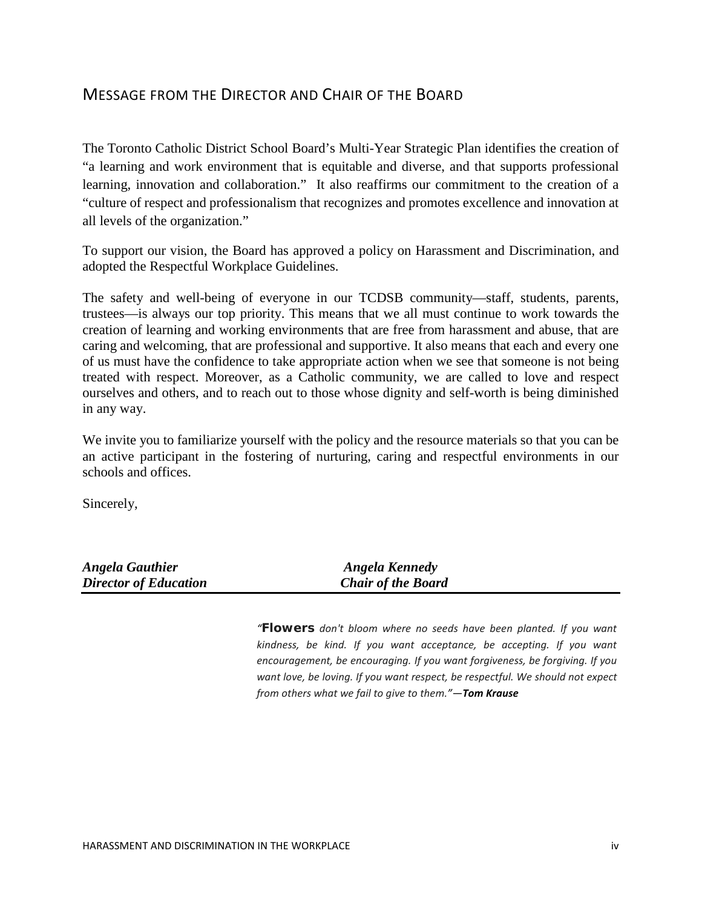## <span id="page-4-0"></span>MESSAGE FROM THE DIRECTOR AND CHAIR OF THE BOARD

The Toronto Catholic District School Board's Multi-Year Strategic Plan identifies the creation of "a learning and work environment that is equitable and diverse, and that supports professional learning, innovation and collaboration." It also reaffirms our commitment to the creation of a "culture of respect and professionalism that recognizes and promotes excellence and innovation at all levels of the organization."

To support our vision, the Board has approved a policy on Harassment and Discrimination, and adopted the Respectful Workplace Guidelines.

The safety and well-being of everyone in our TCDSB community—staff, students, parents, trustees—is always our top priority. This means that we all must continue to work towards the creation of learning and working environments that are free from harassment and abuse, that are caring and welcoming, that are professional and supportive. It also means that each and every one of us must have the confidence to take appropriate action when we see that someone is not being treated with respect. Moreover, as a Catholic community, we are called to love and respect ourselves and others, and to reach out to those whose dignity and self-worth is being diminished in any way.

We invite you to familiarize yourself with the policy and the resource materials so that you can be an active participant in the fostering of nurturing, caring and respectful environments in our schools and offices.

Sincerely,

| <b>Angela Gauthier</b>       | Angela Kennedy            |
|------------------------------|---------------------------|
| <b>Director of Education</b> | <b>Chair of the Board</b> |

*"Flowers [don't bloom where no seeds have been planted. If you want](http://www.searchquotes.com/quotation/Flowers_don%27t_bloom_where_no_seeds_have_been_planted._If_you_want_kindness%2C_be_kind._If_you_want_acc/694303/)  [kindness, be kind. If you want acceptance, be accepting. If you want](http://www.searchquotes.com/quotation/Flowers_don%27t_bloom_where_no_seeds_have_been_planted._If_you_want_kindness%2C_be_kind._If_you_want_acc/694303/)  [encouragement, be encouraging. If you want forgiveness, be forgiving. If you](http://www.searchquotes.com/quotation/Flowers_don%27t_bloom_where_no_seeds_have_been_planted._If_you_want_kindness%2C_be_kind._If_you_want_acc/694303/)  [want love, be loving. If you want respect, be respectful. We should not expect](http://www.searchquotes.com/quotation/Flowers_don%27t_bloom_where_no_seeds_have_been_planted._If_you_want_kindness%2C_be_kind._If_you_want_acc/694303/)  [from others what we fail to give to them."](http://www.searchquotes.com/quotation/Flowers_don%27t_bloom_where_no_seeds_have_been_planted._If_you_want_kindness%2C_be_kind._If_you_want_acc/694303/)—Tom Krause*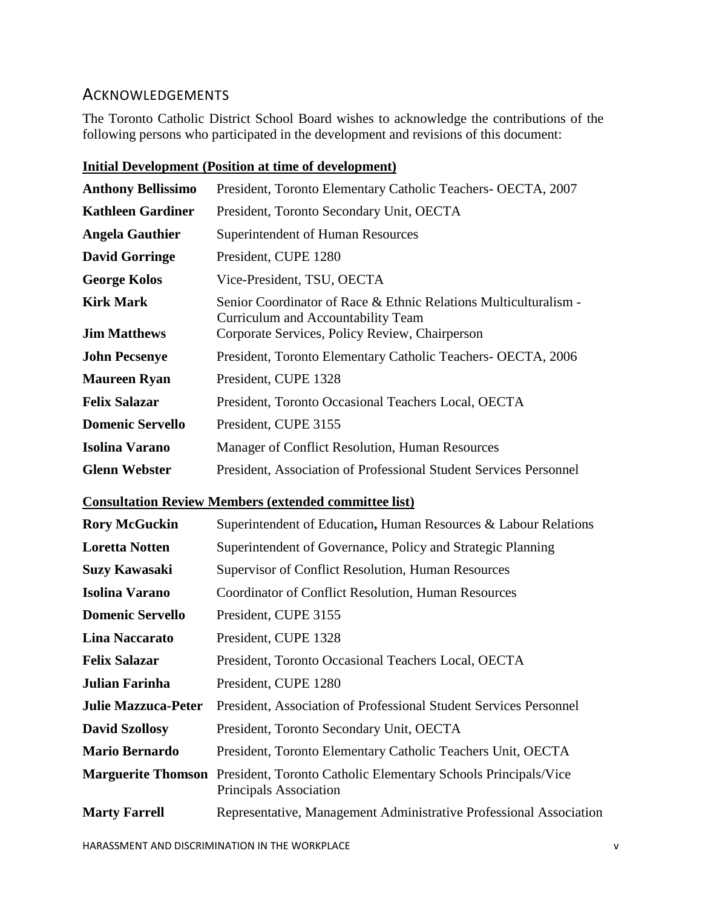## <span id="page-5-0"></span>**ACKNOWLEDGEMENTS**

The Toronto Catholic District School Board wishes to acknowledge the contributions of the following persons who participated in the development and revisions of this document:

|                            | <u> imum Beveropment (i obtuon ut unie of development)</u>                                             |
|----------------------------|--------------------------------------------------------------------------------------------------------|
| <b>Anthony Bellissimo</b>  | President, Toronto Elementary Catholic Teachers- OECTA, 2007                                           |
| <b>Kathleen Gardiner</b>   | President, Toronto Secondary Unit, OECTA                                                               |
| <b>Angela Gauthier</b>     | Superintendent of Human Resources                                                                      |
| <b>David Gorringe</b>      | President, CUPE 1280                                                                                   |
| <b>George Kolos</b>        | Vice-President, TSU, OECTA                                                                             |
| <b>Kirk Mark</b>           | Senior Coordinator of Race & Ethnic Relations Multiculturalism -<br>Curriculum and Accountability Team |
| <b>Jim Matthews</b>        | Corporate Services, Policy Review, Chairperson                                                         |
| <b>John Pecsenye</b>       | President, Toronto Elementary Catholic Teachers- OECTA, 2006                                           |
| <b>Maureen Ryan</b>        | President, CUPE 1328                                                                                   |
| <b>Felix Salazar</b>       | President, Toronto Occasional Teachers Local, OECTA                                                    |
| <b>Domenic Servello</b>    | President, CUPE 3155                                                                                   |
| <b>Isolina Varano</b>      | Manager of Conflict Resolution, Human Resources                                                        |
| <b>Glenn Webster</b>       | President, Association of Professional Student Services Personnel                                      |
|                            | <b>Consultation Review Members (extended committee list)</b>                                           |
| <b>Rory McGuckin</b>       | Superintendent of Education, Human Resources & Labour Relations                                        |
| <b>Loretta Notten</b>      | Superintendent of Governance, Policy and Strategic Planning                                            |
| <b>Suzy Kawasaki</b>       | Supervisor of Conflict Resolution, Human Resources                                                     |
| <b>Isolina Varano</b>      | Coordinator of Conflict Resolution, Human Resources                                                    |
| <b>Domenic Servello</b>    | President, CUPE 3155                                                                                   |
| <b>Lina Naccarato</b>      | President, CUPE 1328                                                                                   |
| <b>Felix Salazar</b>       | President, Toronto Occasional Teachers Local, OECTA                                                    |
| Julian Farinha             | President, CUPE 1280                                                                                   |
| <b>Julie Mazzuca-Peter</b> | President, Association of Professional Student Services Personnel                                      |
|                            |                                                                                                        |

#### **Initial Development (Position at time of development)**

**David Szollosy** President, Toronto Secondary Unit, OECTA **Mario Bernardo** President, Toronto Elementary Catholic Teachers Unit, OECTA **Marguerite Thomson** President, Toronto Catholic Elementary Schools Principals/Vice Principals Association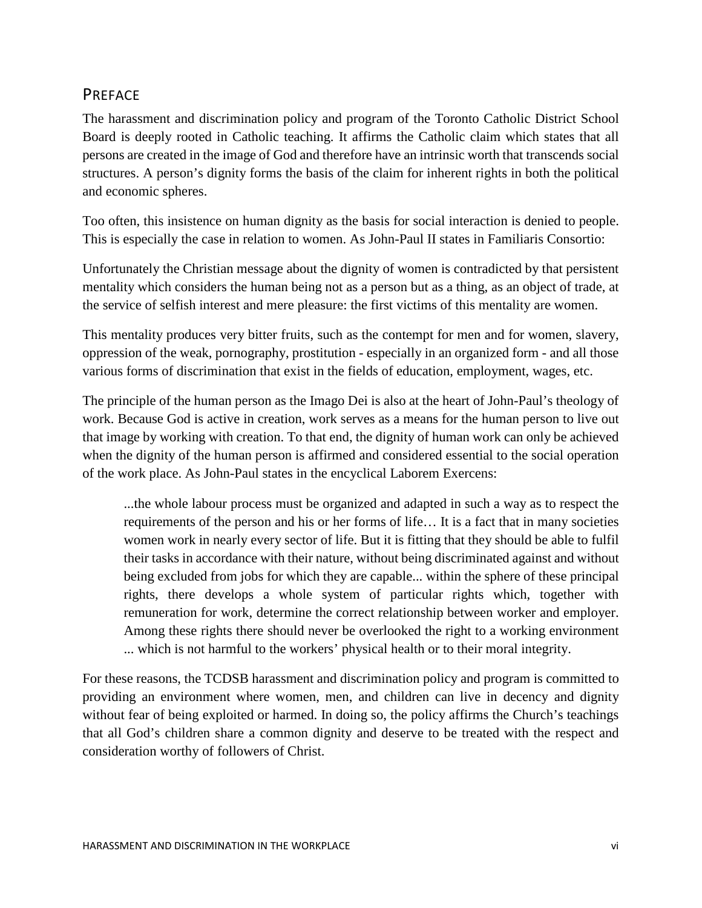## <span id="page-6-0"></span>PREFACE

The harassment and discrimination policy and program of the Toronto Catholic District School Board is deeply rooted in Catholic teaching. It affirms the Catholic claim which states that all persons are created in the image of God and therefore have an intrinsic worth that transcends social structures. A person's dignity forms the basis of the claim for inherent rights in both the political and economic spheres.

Too often, this insistence on human dignity as the basis for social interaction is denied to people. This is especially the case in relation to women. As John-Paul II states in Familiaris Consortio:

Unfortunately the Christian message about the dignity of women is contradicted by that persistent mentality which considers the human being not as a person but as a thing, as an object of trade, at the service of selfish interest and mere pleasure: the first victims of this mentality are women.

This mentality produces very bitter fruits, such as the contempt for men and for women, slavery, oppression of the weak, pornography, prostitution - especially in an organized form - and all those various forms of discrimination that exist in the fields of education, employment, wages, etc.

The principle of the human person as the Imago Dei is also at the heart of John-Paul's theology of work. Because God is active in creation, work serves as a means for the human person to live out that image by working with creation. To that end, the dignity of human work can only be achieved when the dignity of the human person is affirmed and considered essential to the social operation of the work place. As John-Paul states in the encyclical Laborem Exercens:

...the whole labour process must be organized and adapted in such a way as to respect the requirements of the person and his or her forms of life… It is a fact that in many societies women work in nearly every sector of life. But it is fitting that they should be able to fulfil their tasks in accordance with their nature, without being discriminated against and without being excluded from jobs for which they are capable... within the sphere of these principal rights, there develops a whole system of particular rights which, together with remuneration for work, determine the correct relationship between worker and employer. Among these rights there should never be overlooked the right to a working environment ... which is not harmful to the workers' physical health or to their moral integrity.

For these reasons, the TCDSB harassment and discrimination policy and program is committed to providing an environment where women, men, and children can live in decency and dignity without fear of being exploited or harmed. In doing so, the policy affirms the Church's teachings that all God's children share a common dignity and deserve to be treated with the respect and consideration worthy of followers of Christ.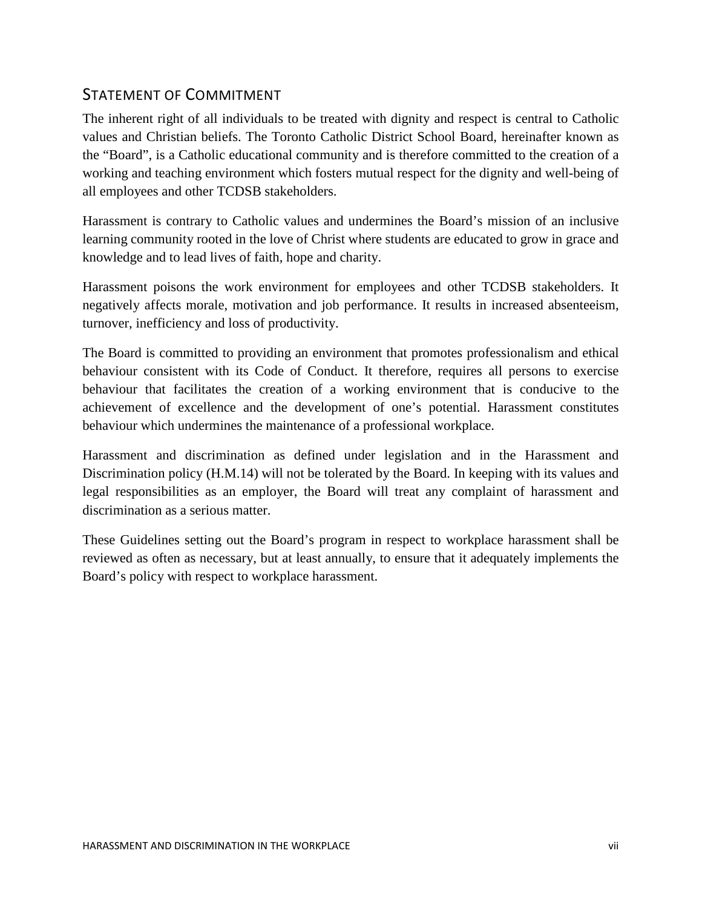## <span id="page-7-0"></span>STATEMENT OF COMMITMENT

The inherent right of all individuals to be treated with dignity and respect is central to Catholic values and Christian beliefs. The Toronto Catholic District School Board, hereinafter known as the "Board", is a Catholic educational community and is therefore committed to the creation of a working and teaching environment which fosters mutual respect for the dignity and well-being of all employees and other TCDSB stakeholders.

Harassment is contrary to Catholic values and undermines the Board's mission of an inclusive learning community rooted in the love of Christ where students are educated to grow in grace and knowledge and to lead lives of faith, hope and charity.

Harassment poisons the work environment for employees and other TCDSB stakeholders. It negatively affects morale, motivation and job performance. It results in increased absenteeism, turnover, inefficiency and loss of productivity.

The Board is committed to providing an environment that promotes professionalism and ethical behaviour consistent with its Code of Conduct. It therefore, requires all persons to exercise behaviour that facilitates the creation of a working environment that is conducive to the achievement of excellence and the development of one's potential. Harassment constitutes behaviour which undermines the maintenance of a professional workplace.

Harassment and discrimination as defined under legislation and in the Harassment and Discrimination policy (H.M.14) will not be tolerated by the Board. In keeping with its values and legal responsibilities as an employer, the Board will treat any complaint of harassment and discrimination as a serious matter.

These Guidelines setting out the Board's program in respect to workplace harassment shall be reviewed as often as necessary, but at least annually, to ensure that it adequately implements the Board's policy with respect to workplace harassment.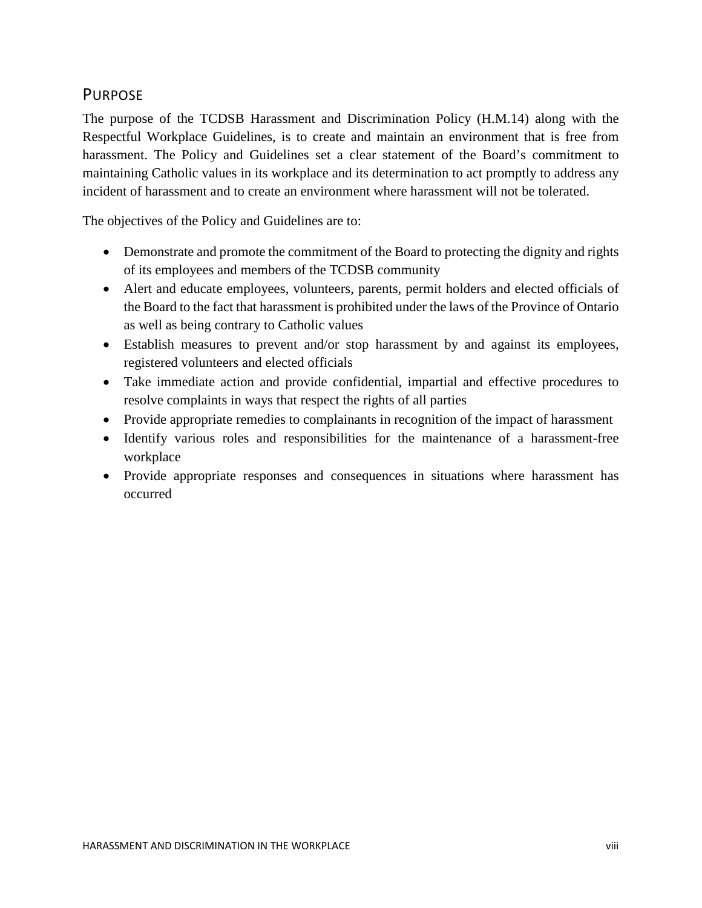## <span id="page-8-0"></span>PURPOSE

The purpose of the TCDSB Harassment and Discrimination Policy (H.M.14) along with the Respectful Workplace Guidelines, is to create and maintain an environment that is free from harassment. The Policy and Guidelines set a clear statement of the Board's commitment to maintaining Catholic values in its workplace and its determination to act promptly to address any incident of harassment and to create an environment where harassment will not be tolerated.

The objectives of the Policy and Guidelines are to:

- Demonstrate and promote the commitment of the Board to protecting the dignity and rights of its employees and members of the TCDSB community
- Alert and educate employees, volunteers, parents, permit holders and elected officials of the Board to the fact that harassment is prohibited under the laws of the Province of Ontario as well as being contrary to Catholic values
- Establish measures to prevent and/or stop harassment by and against its employees, registered volunteers and elected officials
- Take immediate action and provide confidential, impartial and effective procedures to resolve complaints in ways that respect the rights of all parties
- Provide appropriate remedies to complainants in recognition of the impact of harassment
- Identify various roles and responsibilities for the maintenance of a harassment-free workplace
- Provide appropriate responses and consequences in situations where harassment has occurred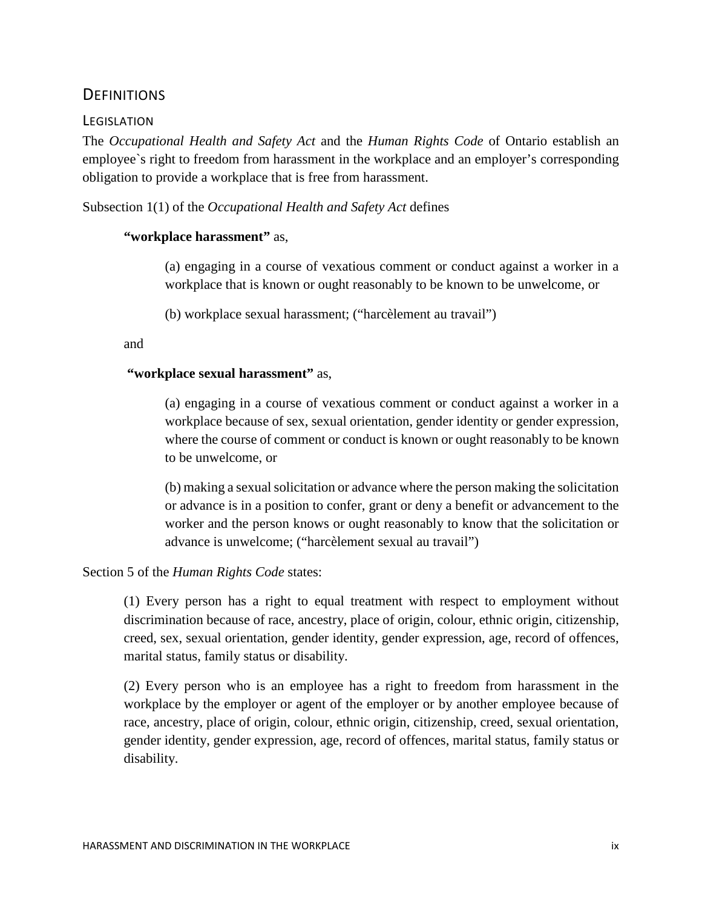### <span id="page-9-0"></span>**DEFINITIONS**

#### <span id="page-9-1"></span>**LEGISLATION**

The *Occupational Health and Safety Act* and the *Human Rights Code* of Ontario establish an employee`s right to freedom from harassment in the workplace and an employer's corresponding obligation to provide a workplace that is free from harassment.

Subsection 1(1) of the *Occupational Health and Safety Act* defines

#### **"workplace harassment"** as,

(a) engaging in a course of vexatious comment or conduct against a worker in a workplace that is known or ought reasonably to be known to be unwelcome, or

(b) workplace sexual harassment; ("harcèlement au travail")

and

#### **"workplace sexual harassment"** as,

(a) engaging in a course of vexatious comment or conduct against a worker in a workplace because of sex, sexual orientation, gender identity or gender expression, where the course of comment or conduct is known or ought reasonably to be known to be unwelcome, or

(b) making a sexual solicitation or advance where the person making the solicitation or advance is in a position to confer, grant or deny a benefit or advancement to the worker and the person knows or ought reasonably to know that the solicitation or advance is unwelcome; ("harcèlement sexual au travail")

Section 5 of the *Human Rights Code* states:

(1) Every person has a right to equal treatment with respect to employment without discrimination because of race, ancestry, place of origin, colour, ethnic origin, citizenship, creed, sex, sexual orientation, gender identity, gender expression, age, record of offences, marital status, family status or disability.

(2) Every person who is an employee has a right to freedom from harassment in the workplace by the employer or agent of the employer or by another employee because of race, ancestry, place of origin, colour, ethnic origin, citizenship, creed, sexual orientation, gender identity, gender expression, age, record of offences, marital status, family status or disability.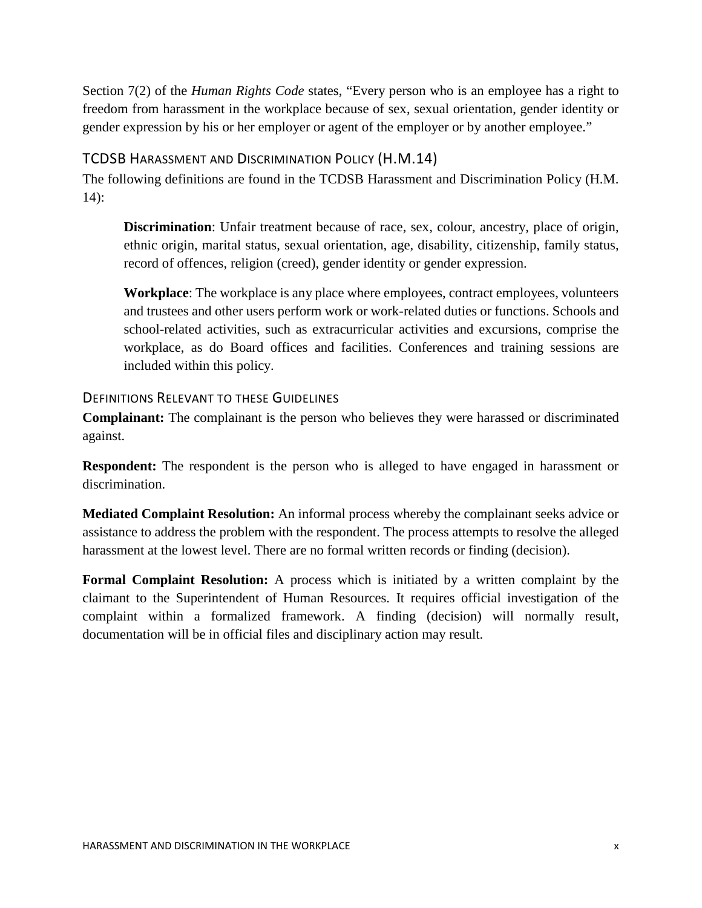Section 7(2) of the *Human Rights Code* states, "Every person who is an employee has a right to freedom from harassment in the workplace because of sex, sexual orientation, gender identity or gender expression by his or her employer or agent of the employer or by another employee."

#### <span id="page-10-0"></span>TCDSB HARASSMENT AND DISCRIMINATION POLICY (H.M.14)

The following definitions are found in the TCDSB Harassment and Discrimination Policy (H.M. 14):

**Discrimination**: Unfair treatment because of race, sex, colour, ancestry, place of origin, ethnic origin, marital status, sexual orientation, age, disability, citizenship, family status, record of offences, religion (creed), gender identity or gender expression.

**Workplace**: The workplace is any place where employees, contract employees, volunteers and trustees and other users perform work or work-related duties or functions. Schools and school-related activities, such as extracurricular activities and excursions, comprise the workplace, as do Board offices and facilities. Conferences and training sessions are included within this policy.

#### <span id="page-10-1"></span>DEFINITIONS RELEVANT TO THESE GUIDELINES

**Complainant:** The complainant is the person who believes they were harassed or discriminated against.

**Respondent:** The respondent is the person who is alleged to have engaged in harassment or discrimination.

**Mediated Complaint Resolution:** An informal process whereby the complainant seeks advice or assistance to address the problem with the respondent. The process attempts to resolve the alleged harassment at the lowest level. There are no formal written records or finding (decision).

**Formal Complaint Resolution:** A process which is initiated by a written complaint by the claimant to the Superintendent of Human Resources. It requires official investigation of the complaint within a formalized framework. A finding (decision) will normally result, documentation will be in official files and disciplinary action may result.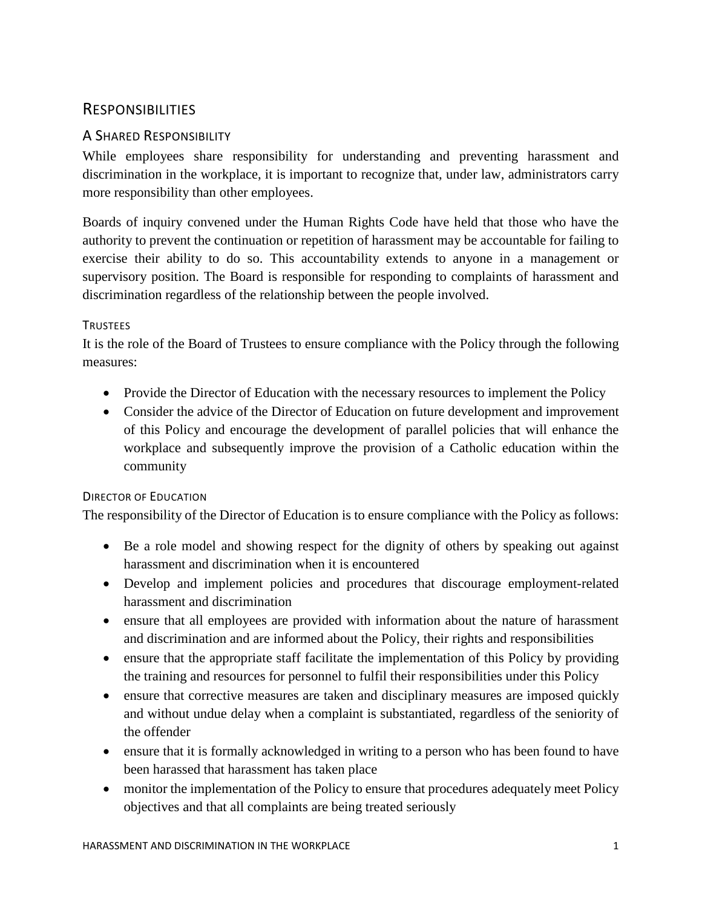## <span id="page-11-0"></span>RESPONSIBILITIES

## <span id="page-11-1"></span>A SHARED RESPONSIBILITY

While employees share responsibility for understanding and preventing harassment and discrimination in the workplace, it is important to recognize that, under law, administrators carry more responsibility than other employees.

Boards of inquiry convened under the Human Rights Code have held that those who have the authority to prevent the continuation or repetition of harassment may be accountable for failing to exercise their ability to do so. This accountability extends to anyone in a management or supervisory position. The Board is responsible for responding to complaints of harassment and discrimination regardless of the relationship between the people involved.

#### <span id="page-11-2"></span>**TRUSTEES**

It is the role of the Board of Trustees to ensure compliance with the Policy through the following measures:

- Provide the Director of Education with the necessary resources to implement the Policy
- Consider the advice of the Director of Education on future development and improvement of this Policy and encourage the development of parallel policies that will enhance the workplace and subsequently improve the provision of a Catholic education within the community

## <span id="page-11-3"></span>DIRECTOR OF EDUCATION

The responsibility of the Director of Education is to ensure compliance with the Policy as follows:

- Be a role model and showing respect for the dignity of others by speaking out against harassment and discrimination when it is encountered
- Develop and implement policies and procedures that discourage employment-related harassment and discrimination
- ensure that all employees are provided with information about the nature of harassment and discrimination and are informed about the Policy, their rights and responsibilities
- ensure that the appropriate staff facilitate the implementation of this Policy by providing the training and resources for personnel to fulfil their responsibilities under this Policy
- ensure that corrective measures are taken and disciplinary measures are imposed quickly and without undue delay when a complaint is substantiated, regardless of the seniority of the offender
- ensure that it is formally acknowledged in writing to a person who has been found to have been harassed that harassment has taken place
- monitor the implementation of the Policy to ensure that procedures adequately meet Policy objectives and that all complaints are being treated seriously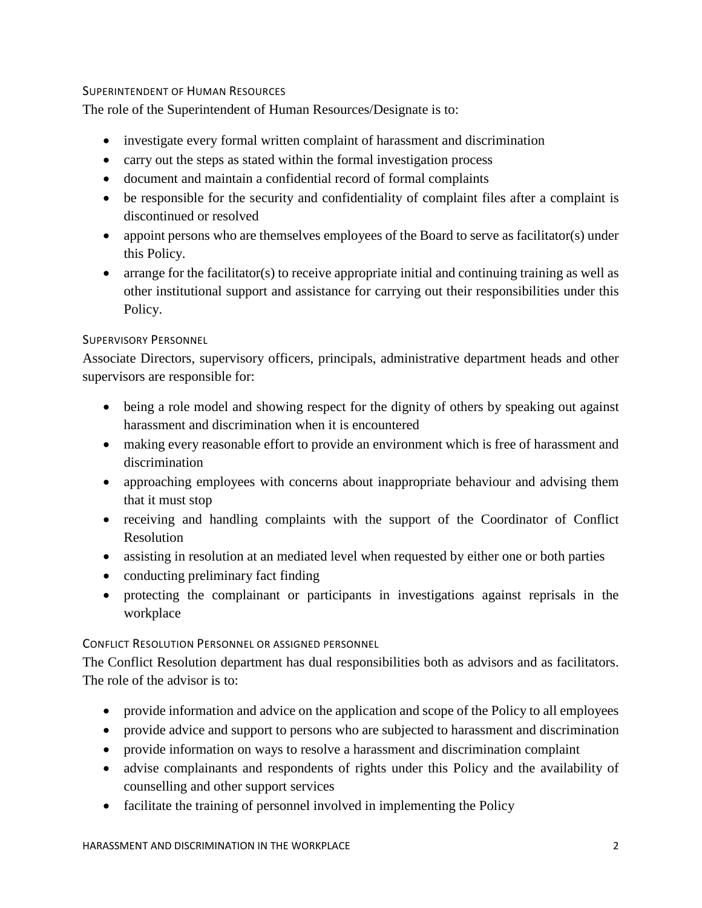#### <span id="page-12-0"></span>SUPERINTENDENT OF HUMAN RESOURCES

The role of the Superintendent of Human Resources/Designate is to:

- investigate every formal written complaint of harassment and discrimination
- carry out the steps as stated within the formal investigation process
- document and maintain a confidential record of formal complaints
- be responsible for the security and confidentiality of complaint files after a complaint is discontinued or resolved
- appoint persons who are themselves employees of the Board to serve as facilitator(s) under this Policy.
- arrange for the facilitator(s) to receive appropriate initial and continuing training as well as other institutional support and assistance for carrying out their responsibilities under this Policy.

#### <span id="page-12-1"></span>SUPERVISORY PERSONNEL

Associate Directors, supervisory officers, principals, administrative department heads and other supervisors are responsible for:

- being a role model and showing respect for the dignity of others by speaking out against harassment and discrimination when it is encountered
- making every reasonable effort to provide an environment which is free of harassment and discrimination
- approaching employees with concerns about inappropriate behaviour and advising them that it must stop
- receiving and handling complaints with the support of the Coordinator of Conflict Resolution
- assisting in resolution at an mediated level when requested by either one or both parties
- conducting preliminary fact finding
- protecting the complainant or participants in investigations against reprisals in the workplace

#### <span id="page-12-2"></span>CONFLICT RESOLUTION PERSONNEL OR ASSIGNED PERSONNEL

The Conflict Resolution department has dual responsibilities both as advisors and as facilitators. The role of the advisor is to:

- provide information and advice on the application and scope of the Policy to all employees
- provide advice and support to persons who are subjected to harassment and discrimination
- provide information on ways to resolve a harassment and discrimination complaint
- advise complainants and respondents of rights under this Policy and the availability of counselling and other support services
- facilitate the training of personnel involved in implementing the Policy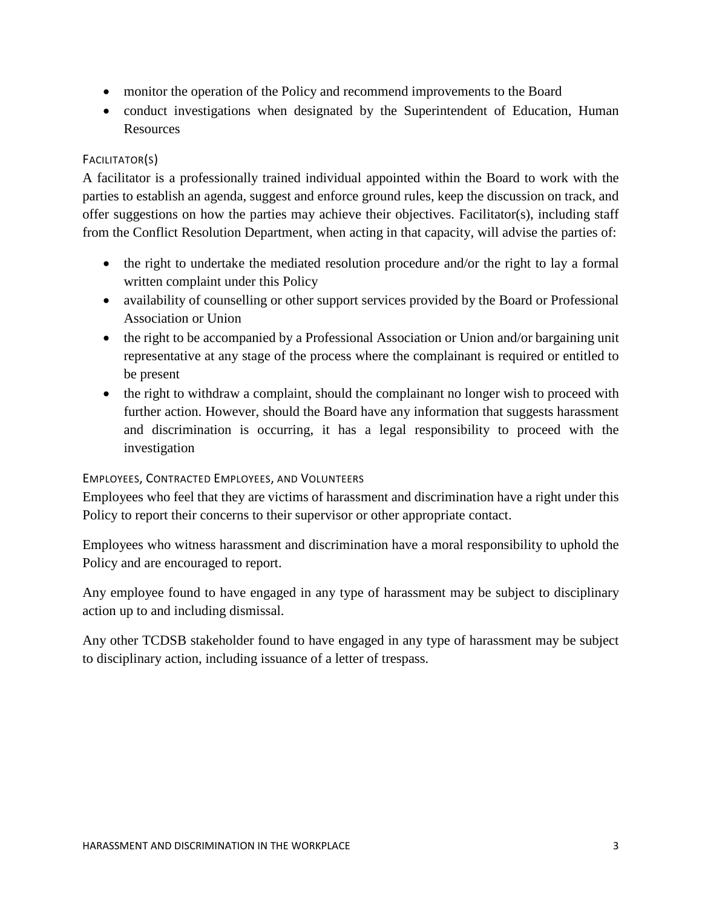- monitor the operation of the Policy and recommend improvements to the Board
- conduct investigations when designated by the Superintendent of Education, Human Resources

#### <span id="page-13-0"></span>FACILITATOR(S)

A facilitator is a professionally trained individual appointed within the Board to work with the parties to establish an agenda, suggest and enforce ground rules, keep the discussion on track, and offer suggestions on how the parties may achieve their objectives. Facilitator(s), including staff from the Conflict Resolution Department, when acting in that capacity, will advise the parties of:

- the right to undertake the mediated resolution procedure and/or the right to lay a formal written complaint under this Policy
- availability of counselling or other support services provided by the Board or Professional Association or Union
- the right to be accompanied by a Professional Association or Union and/or bargaining unit representative at any stage of the process where the complainant is required or entitled to be present
- the right to withdraw a complaint, should the complainant no longer wish to proceed with further action. However, should the Board have any information that suggests harassment and discrimination is occurring, it has a legal responsibility to proceed with the investigation

#### <span id="page-13-1"></span>EMPLOYEES, CONTRACTED EMPLOYEES, AND VOLUNTEERS

Employees who feel that they are victims of harassment and discrimination have a right under this Policy to report their concerns to their supervisor or other appropriate contact.

Employees who witness harassment and discrimination have a moral responsibility to uphold the Policy and are encouraged to report.

Any employee found to have engaged in any type of harassment may be subject to disciplinary action up to and including dismissal.

Any other TCDSB stakeholder found to have engaged in any type of harassment may be subject to disciplinary action, including issuance of a letter of trespass.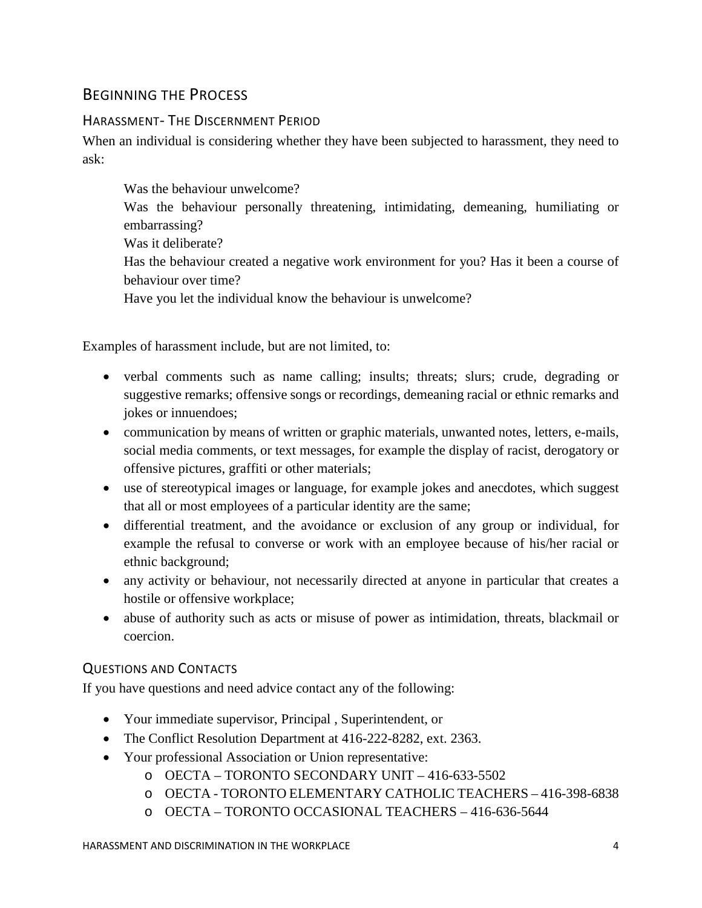## <span id="page-14-0"></span>BEGINNING THE PROCESS

#### <span id="page-14-1"></span>HARASSMENT- THE DISCERNMENT PERIOD

When an individual is considering whether they have been subjected to harassment, they need to ask:

Was the behaviour unwelcome? Was the behaviour personally threatening, intimidating, demeaning, humiliating or embarrassing? Was it deliberate? Has the behaviour created a negative work environment for you? Has it been a course of behaviour over time? Have you let the individual know the behaviour is unwelcome?

Examples of harassment include, but are not limited, to:

- verbal comments such as name calling; insults; threats; slurs; crude, degrading or suggestive remarks; offensive songs or recordings, demeaning racial or ethnic remarks and jokes or innuendoes;
- communication by means of written or graphic materials, unwanted notes, letters, e-mails, social media comments, or text messages, for example the display of racist, derogatory or offensive pictures, graffiti or other materials;
- use of stereotypical images or language, for example jokes and anecdotes, which suggest that all or most employees of a particular identity are the same;
- differential treatment, and the avoidance or exclusion of any group or individual, for example the refusal to converse or work with an employee because of his/her racial or ethnic background;
- any activity or behaviour, not necessarily directed at anyone in particular that creates a hostile or offensive workplace;
- abuse of authority such as acts or misuse of power as intimidation, threats, blackmail or coercion.

#### <span id="page-14-2"></span>QUESTIONS AND CONTACTS

If you have questions and need advice contact any of the following:

- Your immediate supervisor, Principal , Superintendent, or
- The Conflict Resolution Department at 416-222-8282, ext. 2363.
- Your professional Association or Union representative:
	- o OECTA TORONTO SECONDARY UNIT 416-633-5502
	- o OECTA TORONTO ELEMENTARY CATHOLIC TEACHERS 416-398-6838
	- o OECTA TORONTO OCCASIONAL TEACHERS 416-636-5644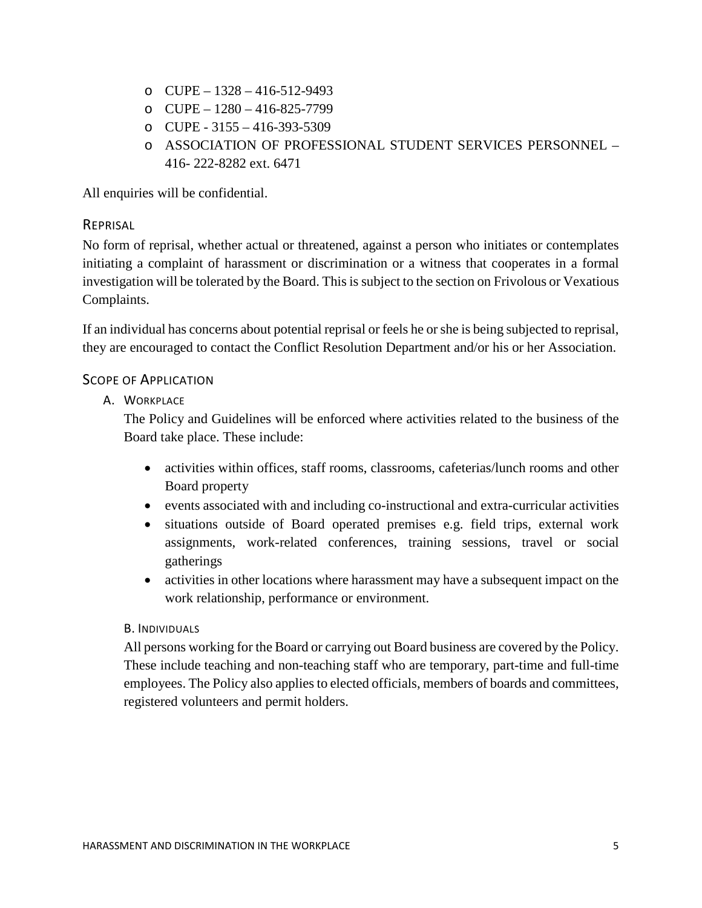- o CUPE 1328 416-512-9493
- o CUPE 1280 416-825-7799
- o CUPE 3155 416-393-5309
- o ASSOCIATION OF PROFESSIONAL STUDENT SERVICES PERSONNEL 416- 222-8282 ext. 6471

All enquiries will be confidential.

#### <span id="page-15-0"></span>**REPRISAL**

No form of reprisal, whether actual or threatened, against a person who initiates or contemplates initiating a complaint of harassment or discrimination or a witness that cooperates in a formal investigation will be tolerated by the Board. This is subject to the section on Frivolous or Vexatious Complaints.

If an individual has concerns about potential reprisal or feels he or she is being subjected to reprisal, they are encouraged to contact the Conflict Resolution Department and/or his or her Association.

#### <span id="page-15-2"></span><span id="page-15-1"></span>SCOPE OF APPLICATION

A. WORKPLACE

The Policy and Guidelines will be enforced where activities related to the business of the Board take place. These include:

- activities within offices, staff rooms, classrooms, cafeterias/lunch rooms and other Board property
- events associated with and including co-instructional and extra-curricular activities
- situations outside of Board operated premises e.g. field trips, external work assignments, work-related conferences, training sessions, travel or social gatherings
- activities in other locations where harassment may have a subsequent impact on the work relationship, performance or environment.

#### <span id="page-15-3"></span>B. INDIVIDUALS

All persons working for the Board or carrying out Board business are covered by the Policy. These include teaching and non-teaching staff who are temporary, part-time and full-time employees. The Policy also applies to elected officials, members of boards and committees, registered volunteers and permit holders.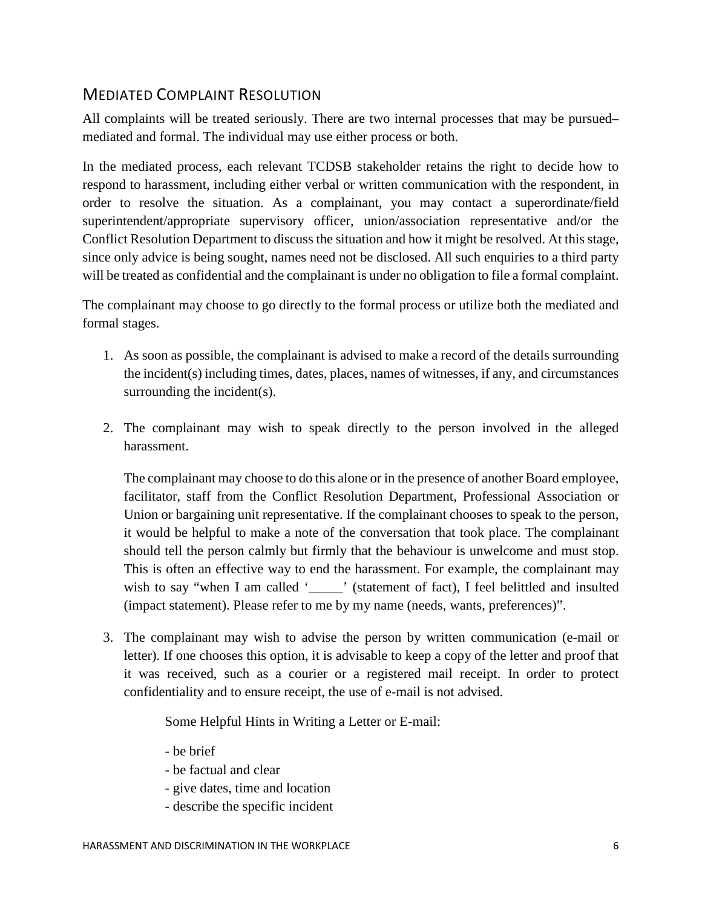## <span id="page-16-0"></span>MEDIATED COMPLAINT RESOLUTION

All complaints will be treated seriously. There are two internal processes that may be pursued– mediated and formal. The individual may use either process or both.

In the mediated process, each relevant TCDSB stakeholder retains the right to decide how to respond to harassment, including either verbal or written communication with the respondent, in order to resolve the situation. As a complainant, you may contact a superordinate/field superintendent/appropriate supervisory officer, union/association representative and/or the Conflict Resolution Department to discuss the situation and how it might be resolved. At this stage, since only advice is being sought, names need not be disclosed. All such enquiries to a third party will be treated as confidential and the complainant is under no obligation to file a formal complaint.

The complainant may choose to go directly to the formal process or utilize both the mediated and formal stages.

- 1. As soon as possible, the complainant is advised to make a record of the details surrounding the incident(s) including times, dates, places, names of witnesses, if any, and circumstances surrounding the incident(s).
- 2. The complainant may wish to speak directly to the person involved in the alleged harassment.

The complainant may choose to do this alone or in the presence of another Board employee, facilitator, staff from the Conflict Resolution Department, Professional Association or Union or bargaining unit representative. If the complainant chooses to speak to the person, it would be helpful to make a note of the conversation that took place. The complainant should tell the person calmly but firmly that the behaviour is unwelcome and must stop. This is often an effective way to end the harassment. For example, the complainant may wish to say "when I am called '\_\_\_\_\_\_' (statement of fact), I feel belittled and insulted (impact statement). Please refer to me by my name (needs, wants, preferences)".

3. The complainant may wish to advise the person by written communication (e-mail or letter). If one chooses this option, it is advisable to keep a copy of the letter and proof that it was received, such as a courier or a registered mail receipt. In order to protect confidentiality and to ensure receipt, the use of e-mail is not advised.

Some Helpful Hints in Writing a Letter or E-mail:

- be brief
- be factual and clear
- give dates, time and location
- describe the specific incident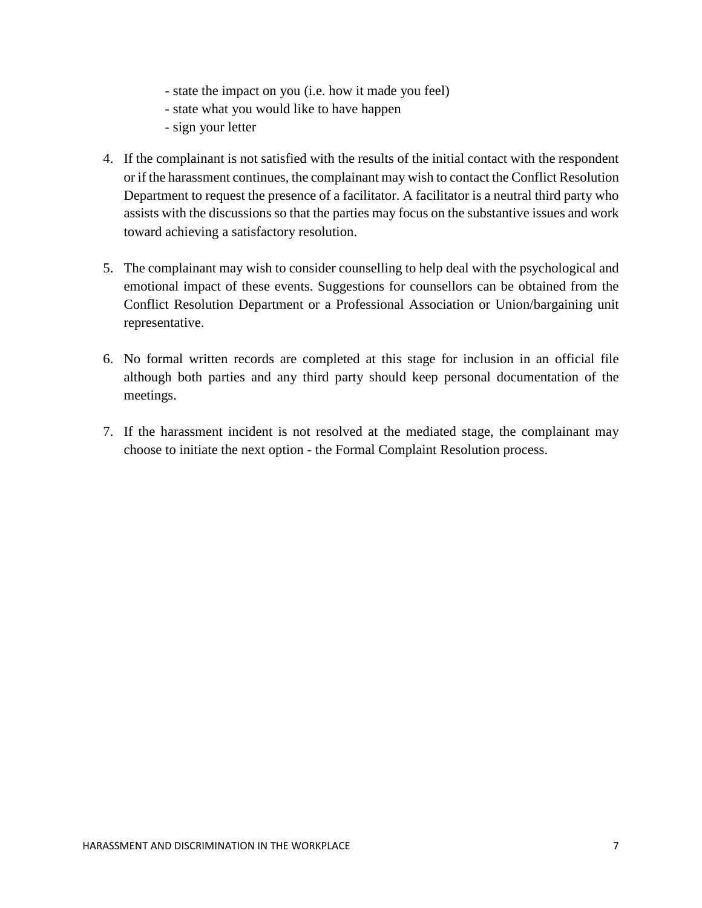- state the impact on you (i.e. how it made you feel)
- state what you would like to have happen
- sign your letter
- 4. If the complainant is not satisfied with the results of the initial contact with the respondent or if the harassment continues, the complainant may wish to contact the Conflict Resolution Department to request the presence of a facilitator. A facilitator is a neutral third party who assists with the discussions so that the parties may focus on the substantive issues and work toward achieving a satisfactory resolution.
- 5. The complainant may wish to consider counselling to help deal with the psychological and emotional impact of these events. Suggestions for counsellors can be obtained from the Conflict Resolution Department or a Professional Association or Union/bargaining unit representative.
- 6. No formal written records are completed at this stage for inclusion in an official file although both parties and any third party should keep personal documentation of the meetings.
- 7. If the harassment incident is not resolved at the mediated stage, the complainant may choose to initiate the next option - the Formal Complaint Resolution process.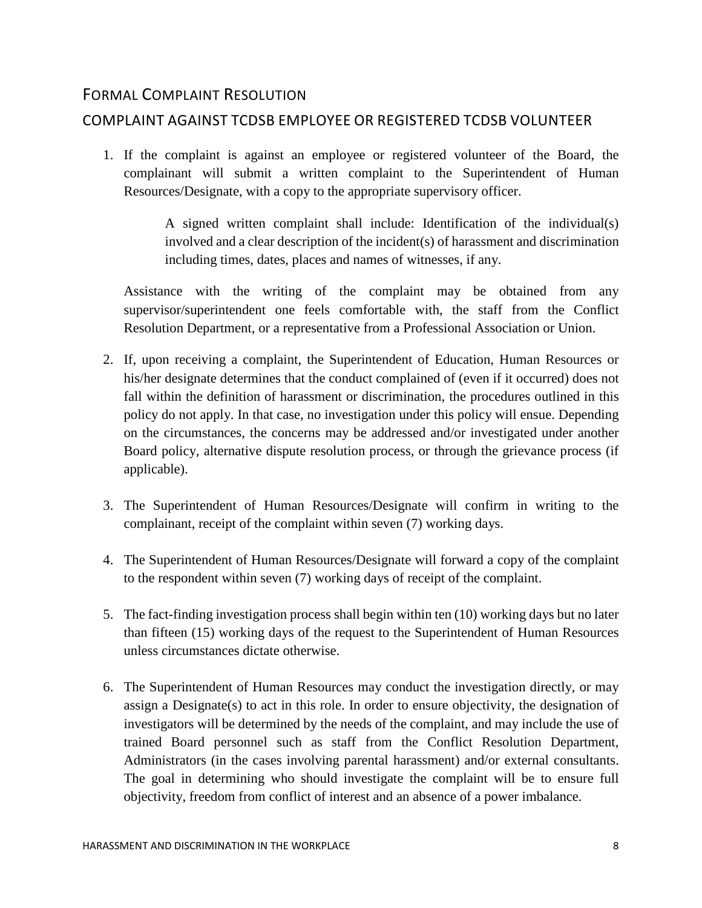## <span id="page-18-0"></span>FORMAL COMPLAINT RESOLUTION

## <span id="page-18-1"></span>COMPLAINT AGAINST TCDSB EMPLOYEE OR REGISTERED TCDSB VOLUNTEER

1. If the complaint is against an employee or registered volunteer of the Board, the complainant will submit a written complaint to the Superintendent of Human Resources/Designate, with a copy to the appropriate supervisory officer.

> A signed written complaint shall include: Identification of the individual(s) involved and a clear description of the incident(s) of harassment and discrimination including times, dates, places and names of witnesses, if any.

Assistance with the writing of the complaint may be obtained from any supervisor/superintendent one feels comfortable with, the staff from the Conflict Resolution Department, or a representative from a Professional Association or Union.

- 2. If, upon receiving a complaint, the Superintendent of Education, Human Resources or his/her designate determines that the conduct complained of (even if it occurred) does not fall within the definition of harassment or discrimination, the procedures outlined in this policy do not apply. In that case, no investigation under this policy will ensue. Depending on the circumstances, the concerns may be addressed and/or investigated under another Board policy, alternative dispute resolution process, or through the grievance process (if applicable).
- 3. The Superintendent of Human Resources/Designate will confirm in writing to the complainant, receipt of the complaint within seven (7) working days.
- 4. The Superintendent of Human Resources/Designate will forward a copy of the complaint to the respondent within seven (7) working days of receipt of the complaint.
- 5. The fact-finding investigation process shall begin within ten (10) working days but no later than fifteen (15) working days of the request to the Superintendent of Human Resources unless circumstances dictate otherwise.
- 6. The Superintendent of Human Resources may conduct the investigation directly, or may assign a Designate(s) to act in this role. In order to ensure objectivity, the designation of investigators will be determined by the needs of the complaint, and may include the use of trained Board personnel such as staff from the Conflict Resolution Department, Administrators (in the cases involving parental harassment) and/or external consultants. The goal in determining who should investigate the complaint will be to ensure full objectivity, freedom from conflict of interest and an absence of a power imbalance.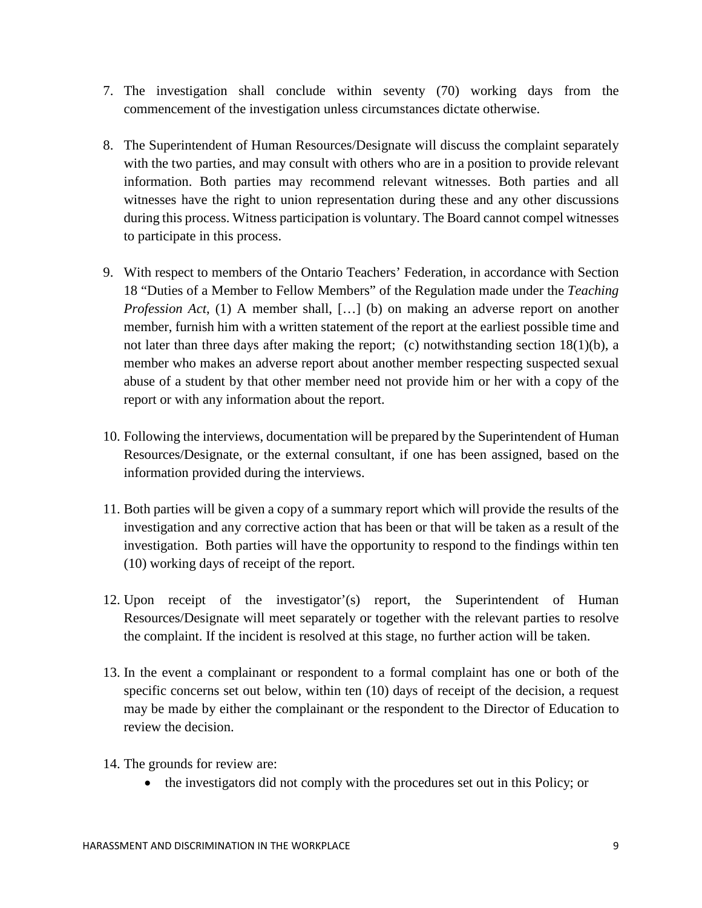- 7. The investigation shall conclude within seventy (70) working days from the commencement of the investigation unless circumstances dictate otherwise.
- 8. The Superintendent of Human Resources/Designate will discuss the complaint separately with the two parties, and may consult with others who are in a position to provide relevant information. Both parties may recommend relevant witnesses. Both parties and all witnesses have the right to union representation during these and any other discussions during this process. Witness participation is voluntary. The Board cannot compel witnesses to participate in this process.
- 9. With respect to members of the Ontario Teachers' Federation, in accordance with Section 18 "Duties of a Member to Fellow Members" of the Regulation made under the *Teaching Profession Act*, (1) A member shall, [...] (b) on making an adverse report on another member, furnish him with a written statement of the report at the earliest possible time and not later than three days after making the report; (c) notwithstanding section  $18(1)(b)$ , a member who makes an adverse report about another member respecting suspected sexual abuse of a student by that other member need not provide him or her with a copy of the report or with any information about the report.
- 10. Following the interviews, documentation will be prepared by the Superintendent of Human Resources/Designate, or the external consultant, if one has been assigned, based on the information provided during the interviews.
- 11. Both parties will be given a copy of a summary report which will provide the results of the investigation and any corrective action that has been or that will be taken as a result of the investigation. Both parties will have the opportunity to respond to the findings within ten (10) working days of receipt of the report.
- 12. Upon receipt of the investigator'(s) report, the Superintendent of Human Resources/Designate will meet separately or together with the relevant parties to resolve the complaint. If the incident is resolved at this stage, no further action will be taken.
- 13. In the event a complainant or respondent to a formal complaint has one or both of the specific concerns set out below, within ten (10) days of receipt of the decision, a request may be made by either the complainant or the respondent to the Director of Education to review the decision.
- 14. The grounds for review are:
	- the investigators did not comply with the procedures set out in this Policy; or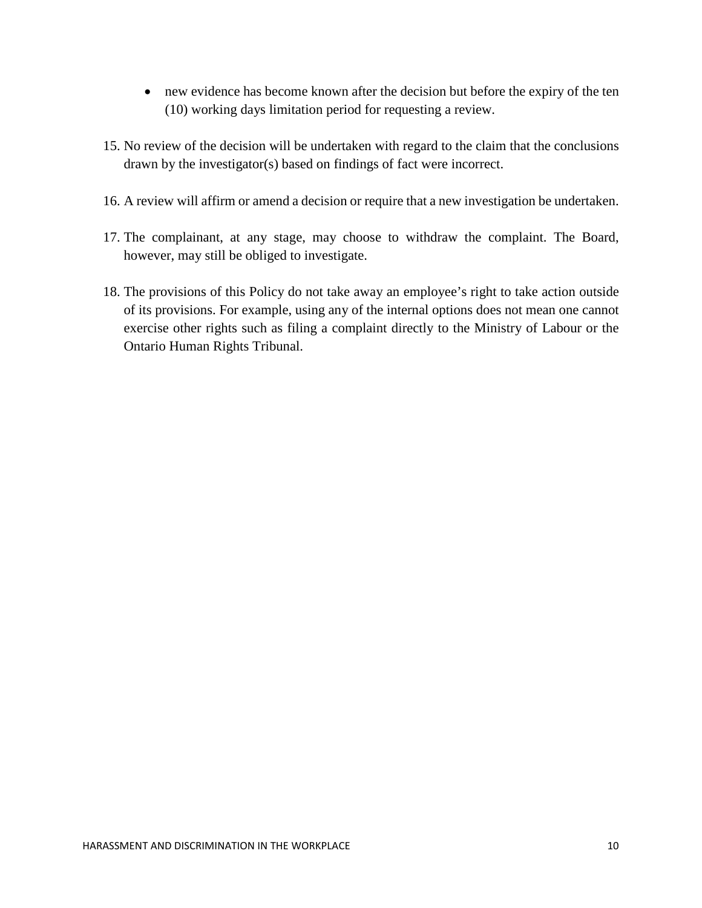- new evidence has become known after the decision but before the expiry of the ten (10) working days limitation period for requesting a review.
- 15. No review of the decision will be undertaken with regard to the claim that the conclusions drawn by the investigator(s) based on findings of fact were incorrect.
- 16. A review will affirm or amend a decision or require that a new investigation be undertaken.
- 17. The complainant, at any stage, may choose to withdraw the complaint. The Board, however, may still be obliged to investigate.
- 18. The provisions of this Policy do not take away an employee's right to take action outside of its provisions. For example, using any of the internal options does not mean one cannot exercise other rights such as filing a complaint directly to the Ministry of Labour or the Ontario Human Rights Tribunal.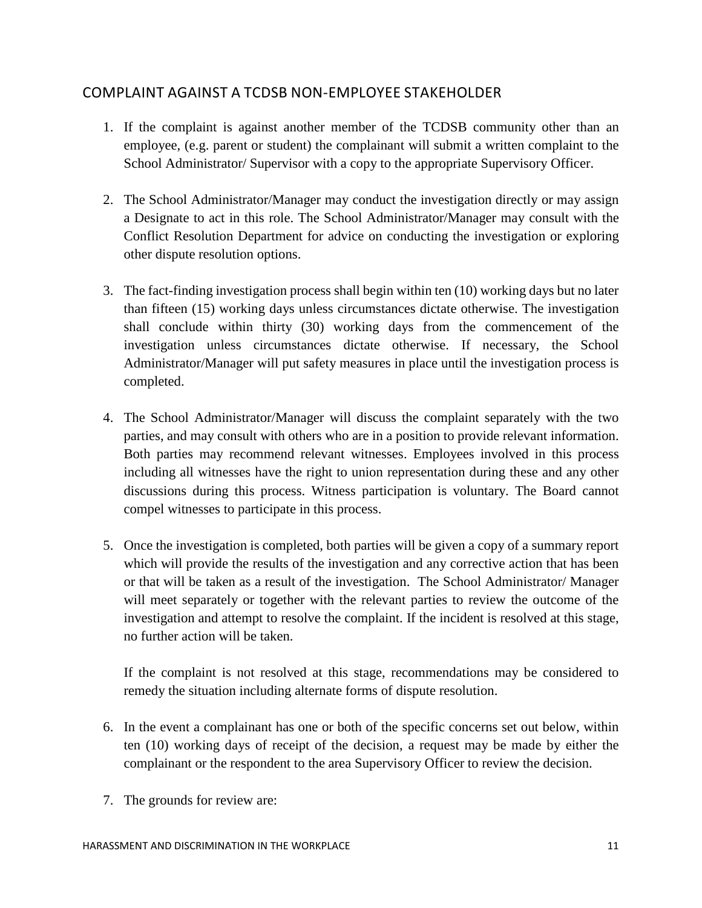## <span id="page-21-0"></span>COMPLAINT AGAINST A TCDSB NON-EMPLOYEE STAKEHOLDER

- 1. If the complaint is against another member of the TCDSB community other than an employee, (e.g. parent or student) the complainant will submit a written complaint to the School Administrator/ Supervisor with a copy to the appropriate Supervisory Officer.
- 2. The School Administrator/Manager may conduct the investigation directly or may assign a Designate to act in this role. The School Administrator/Manager may consult with the Conflict Resolution Department for advice on conducting the investigation or exploring other dispute resolution options.
- 3. The fact-finding investigation process shall begin within ten (10) working days but no later than fifteen (15) working days unless circumstances dictate otherwise. The investigation shall conclude within thirty (30) working days from the commencement of the investigation unless circumstances dictate otherwise. If necessary, the School Administrator/Manager will put safety measures in place until the investigation process is completed.
- 4. The School Administrator/Manager will discuss the complaint separately with the two parties, and may consult with others who are in a position to provide relevant information. Both parties may recommend relevant witnesses. Employees involved in this process including all witnesses have the right to union representation during these and any other discussions during this process. Witness participation is voluntary. The Board cannot compel witnesses to participate in this process.
- 5. Once the investigation is completed, both parties will be given a copy of a summary report which will provide the results of the investigation and any corrective action that has been or that will be taken as a result of the investigation. The School Administrator/ Manager will meet separately or together with the relevant parties to review the outcome of the investigation and attempt to resolve the complaint. If the incident is resolved at this stage, no further action will be taken.

If the complaint is not resolved at this stage, recommendations may be considered to remedy the situation including alternate forms of dispute resolution.

- 6. In the event a complainant has one or both of the specific concerns set out below, within ten (10) working days of receipt of the decision, a request may be made by either the complainant or the respondent to the area Supervisory Officer to review the decision.
- 7. The grounds for review are: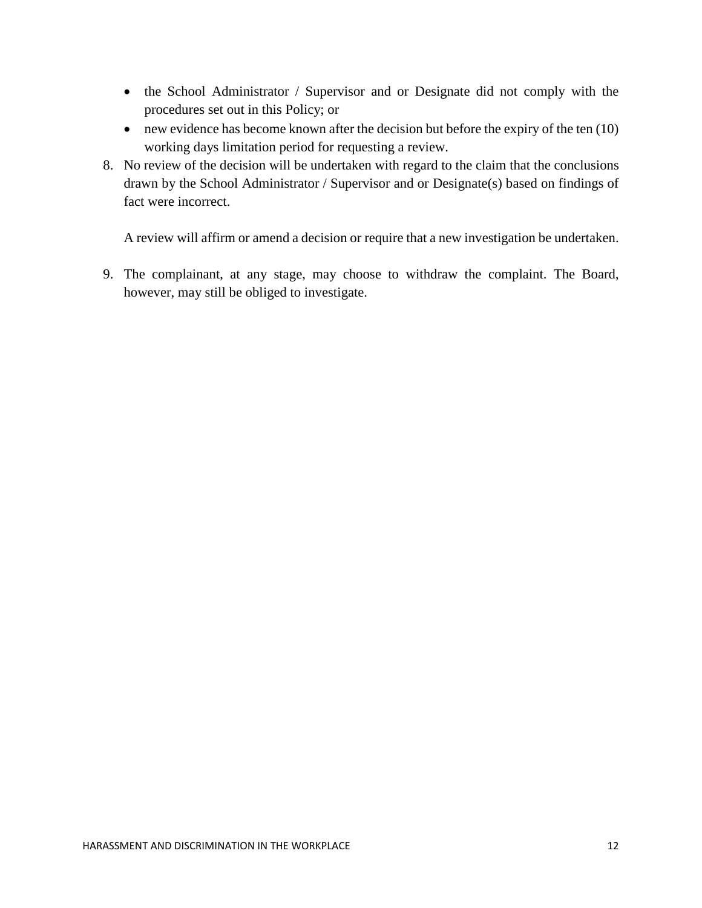- the School Administrator / Supervisor and or Designate did not comply with the procedures set out in this Policy; or
- new evidence has become known after the decision but before the expiry of the ten (10) working days limitation period for requesting a review.
- 8. No review of the decision will be undertaken with regard to the claim that the conclusions drawn by the School Administrator / Supervisor and or Designate(s) based on findings of fact were incorrect.

A review will affirm or amend a decision or require that a new investigation be undertaken.

9. The complainant, at any stage, may choose to withdraw the complaint. The Board, however, may still be obliged to investigate.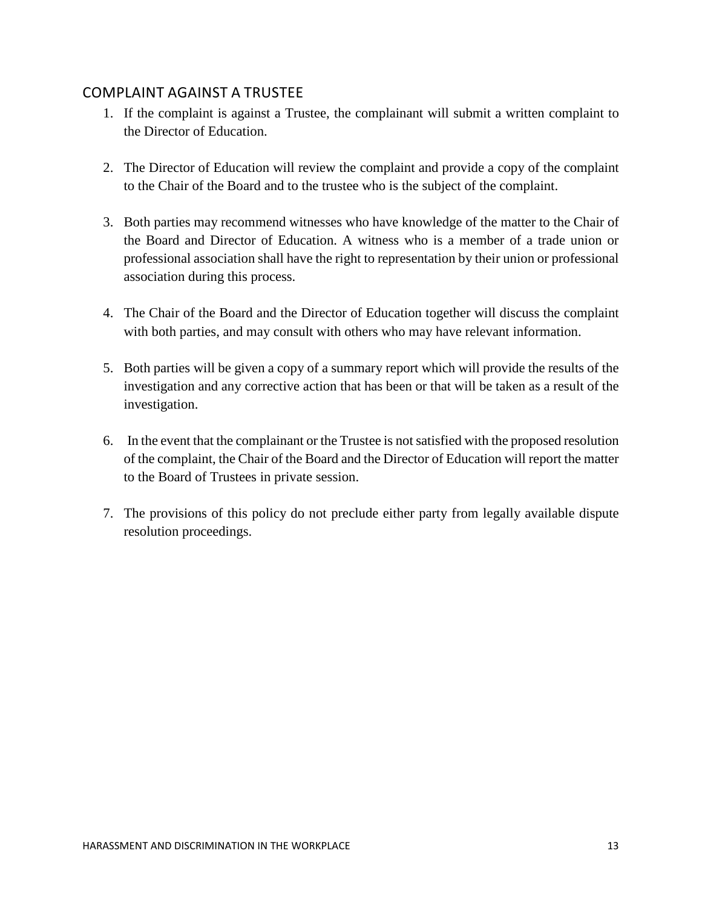## <span id="page-23-0"></span>COMPLAINT AGAINST A TRUSTEE

- 1. If the complaint is against a Trustee, the complainant will submit a written complaint to the Director of Education.
- 2. The Director of Education will review the complaint and provide a copy of the complaint to the Chair of the Board and to the trustee who is the subject of the complaint.
- 3. Both parties may recommend witnesses who have knowledge of the matter to the Chair of the Board and Director of Education. A witness who is a member of a trade union or professional association shall have the right to representation by their union or professional association during this process.
- 4. The Chair of the Board and the Director of Education together will discuss the complaint with both parties, and may consult with others who may have relevant information.
- 5. Both parties will be given a copy of a summary report which will provide the results of the investigation and any corrective action that has been or that will be taken as a result of the investigation.
- 6. In the event that the complainant or the Trustee is not satisfied with the proposed resolution of the complaint, the Chair of the Board and the Director of Education will report the matter to the Board of Trustees in private session.
- 7. The provisions of this policy do not preclude either party from legally available dispute resolution proceedings.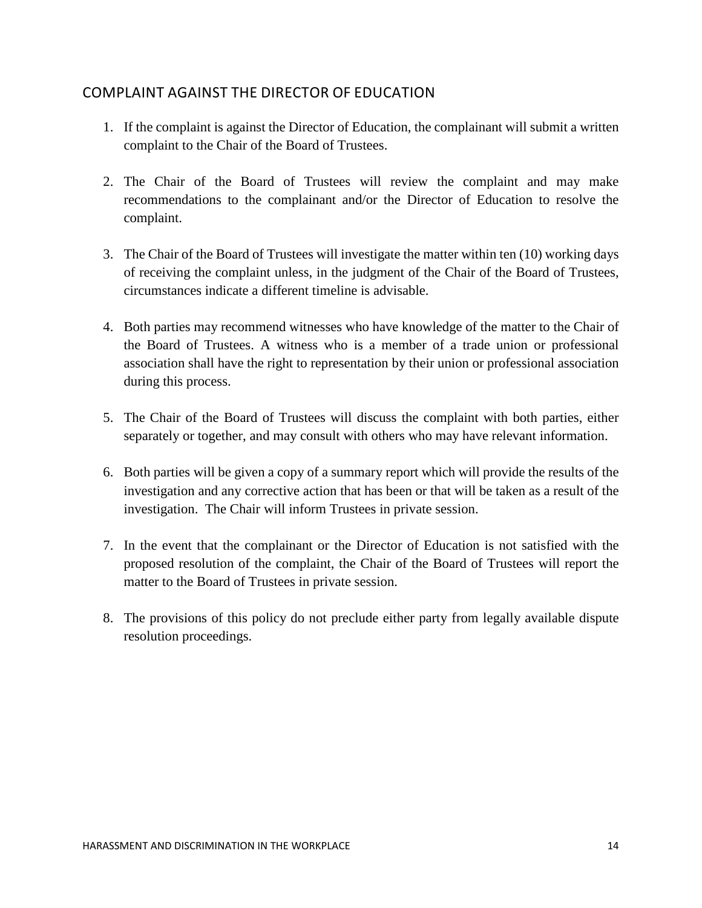## <span id="page-24-0"></span>COMPLAINT AGAINST THE DIRECTOR OF EDUCATION

- 1. If the complaint is against the Director of Education, the complainant will submit a written complaint to the Chair of the Board of Trustees.
- 2. The Chair of the Board of Trustees will review the complaint and may make recommendations to the complainant and/or the Director of Education to resolve the complaint.
- 3. The Chair of the Board of Trustees will investigate the matter within ten (10) working days of receiving the complaint unless, in the judgment of the Chair of the Board of Trustees, circumstances indicate a different timeline is advisable.
- 4. Both parties may recommend witnesses who have knowledge of the matter to the Chair of the Board of Trustees. A witness who is a member of a trade union or professional association shall have the right to representation by their union or professional association during this process.
- 5. The Chair of the Board of Trustees will discuss the complaint with both parties, either separately or together, and may consult with others who may have relevant information.
- 6. Both parties will be given a copy of a summary report which will provide the results of the investigation and any corrective action that has been or that will be taken as a result of the investigation. The Chair will inform Trustees in private session.
- 7. In the event that the complainant or the Director of Education is not satisfied with the proposed resolution of the complaint, the Chair of the Board of Trustees will report the matter to the Board of Trustees in private session.
- 8. The provisions of this policy do not preclude either party from legally available dispute resolution proceedings.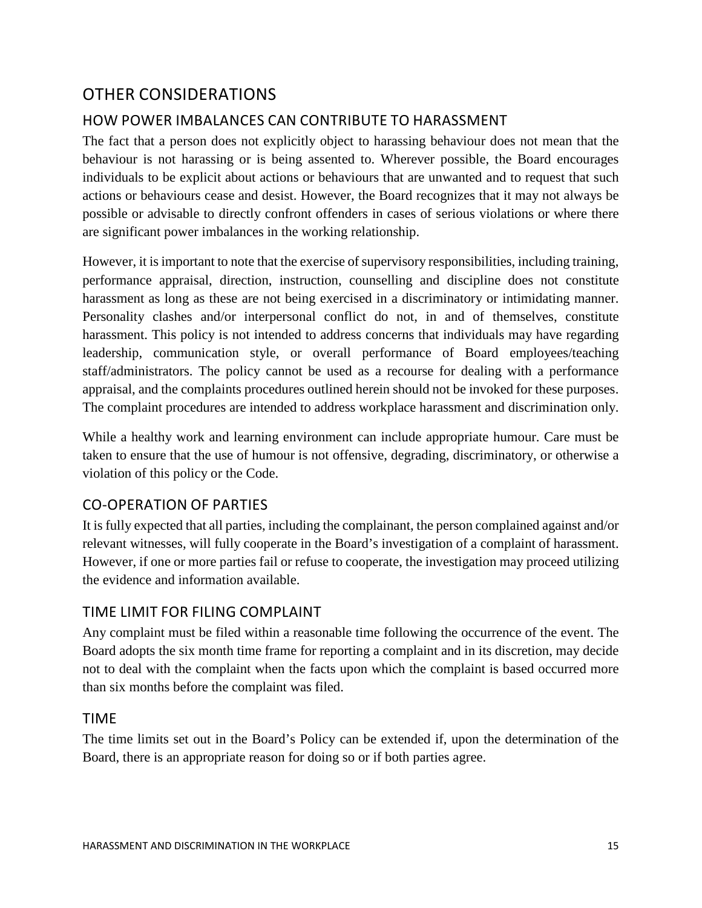## <span id="page-25-0"></span>OTHER CONSIDERATIONS

## <span id="page-25-1"></span>HOW POWER IMBALANCES CAN CONTRIBUTE TO HARASSMENT

The fact that a person does not explicitly object to harassing behaviour does not mean that the behaviour is not harassing or is being assented to. Wherever possible, the Board encourages individuals to be explicit about actions or behaviours that are unwanted and to request that such actions or behaviours cease and desist. However, the Board recognizes that it may not always be possible or advisable to directly confront offenders in cases of serious violations or where there are significant power imbalances in the working relationship.

However, it is important to note that the exercise of supervisory responsibilities, including training, performance appraisal, direction, instruction, counselling and discipline does not constitute harassment as long as these are not being exercised in a discriminatory or intimidating manner. Personality clashes and/or interpersonal conflict do not, in and of themselves, constitute harassment. This policy is not intended to address concerns that individuals may have regarding leadership, communication style, or overall performance of Board employees/teaching staff/administrators. The policy cannot be used as a recourse for dealing with a performance appraisal, and the complaints procedures outlined herein should not be invoked for these purposes. The complaint procedures are intended to address workplace harassment and discrimination only.

While a healthy work and learning environment can include appropriate humour. Care must be taken to ensure that the use of humour is not offensive, degrading, discriminatory, or otherwise a violation of this policy or the Code.

## CO-OPERATION OF PARTIES

It is fully expected that all parties, including the complainant, the person complained against and/or relevant witnesses, will fully cooperate in the Board's investigation of a complaint of harassment. However, if one or more parties fail or refuse to cooperate, the investigation may proceed utilizing the evidence and information available.

## <span id="page-25-2"></span>TIME LIMIT FOR FILING COMPLAINT

Any complaint must be filed within a reasonable time following the occurrence of the event. The Board adopts the six month time frame for reporting a complaint and in its discretion, may decide not to deal with the complaint when the facts upon which the complaint is based occurred more than six months before the complaint was filed.

#### <span id="page-25-3"></span>TIME

The time limits set out in the Board's Policy can be extended if, upon the determination of the Board, there is an appropriate reason for doing so or if both parties agree.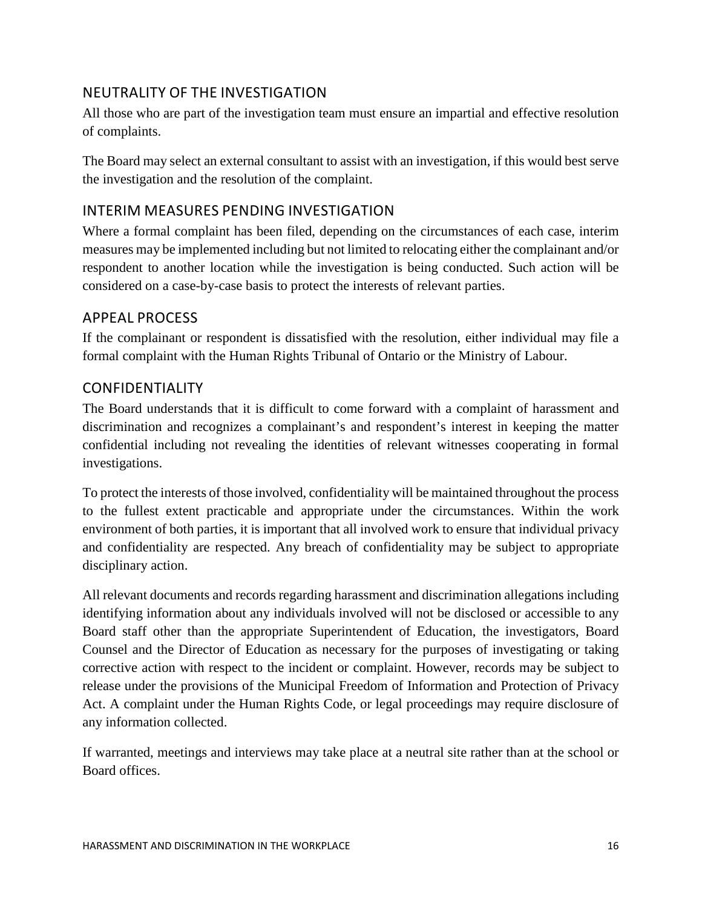## <span id="page-26-0"></span>NEUTRALITY OF THE INVESTIGATION

All those who are part of the investigation team must ensure an impartial and effective resolution of complaints.

The Board may select an external consultant to assist with an investigation, if this would best serve the investigation and the resolution of the complaint.

## <span id="page-26-1"></span>INTERIM MEASURES PENDING INVESTIGATION

Where a formal complaint has been filed, depending on the circumstances of each case, interim measures may be implemented including but not limited to relocating either the complainant and/or respondent to another location while the investigation is being conducted. Such action will be considered on a case-by-case basis to protect the interests of relevant parties.

## <span id="page-26-2"></span>APPEAL PROCESS

If the complainant or respondent is dissatisfied with the resolution, either individual may file a formal complaint with the Human Rights Tribunal of Ontario or the Ministry of Labour.

## <span id="page-26-3"></span>CONFIDENTIALITY

The Board understands that it is difficult to come forward with a complaint of harassment and discrimination and recognizes a complainant's and respondent's interest in keeping the matter confidential including not revealing the identities of relevant witnesses cooperating in formal investigations.

To protect the interests of those involved, confidentiality will be maintained throughout the process to the fullest extent practicable and appropriate under the circumstances. Within the work environment of both parties, it is important that all involved work to ensure that individual privacy and confidentiality are respected. Any breach of confidentiality may be subject to appropriate disciplinary action.

All relevant documents and records regarding harassment and discrimination allegations including identifying information about any individuals involved will not be disclosed or accessible to any Board staff other than the appropriate Superintendent of Education, the investigators, Board Counsel and the Director of Education as necessary for the purposes of investigating or taking corrective action with respect to the incident or complaint. However, records may be subject to release under the provisions of the Municipal Freedom of Information and Protection of Privacy Act. A complaint under the Human Rights Code, or legal proceedings may require disclosure of any information collected.

If warranted, meetings and interviews may take place at a neutral site rather than at the school or Board offices.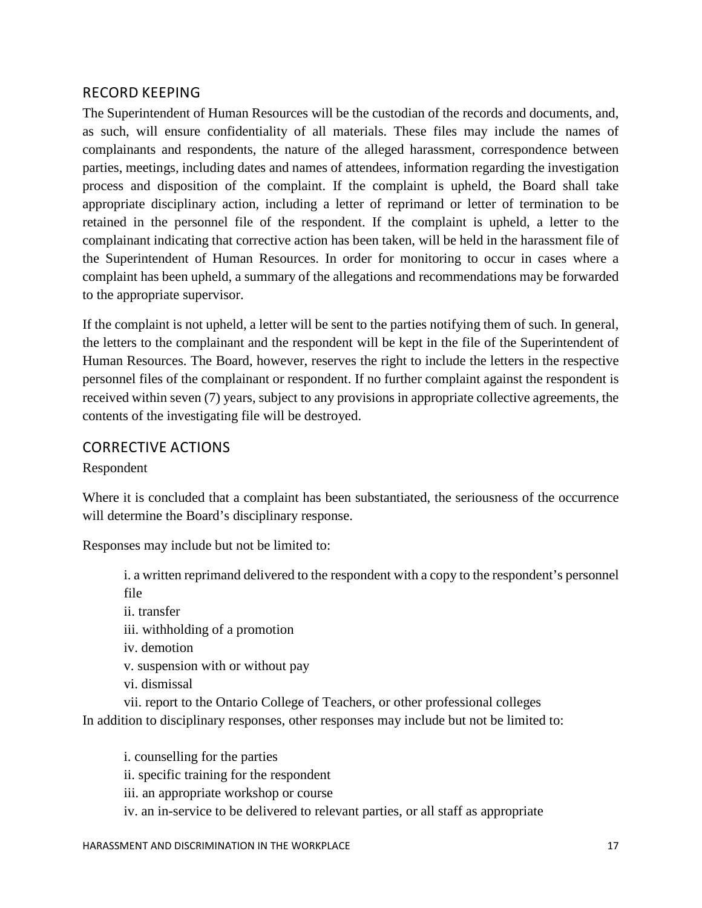## <span id="page-27-0"></span>RECORD KEEPING

The Superintendent of Human Resources will be the custodian of the records and documents, and, as such, will ensure confidentiality of all materials. These files may include the names of complainants and respondents, the nature of the alleged harassment, correspondence between parties, meetings, including dates and names of attendees, information regarding the investigation process and disposition of the complaint. If the complaint is upheld, the Board shall take appropriate disciplinary action, including a letter of reprimand or letter of termination to be retained in the personnel file of the respondent. If the complaint is upheld, a letter to the complainant indicating that corrective action has been taken, will be held in the harassment file of the Superintendent of Human Resources. In order for monitoring to occur in cases where a complaint has been upheld, a summary of the allegations and recommendations may be forwarded to the appropriate supervisor.

If the complaint is not upheld, a letter will be sent to the parties notifying them of such. In general, the letters to the complainant and the respondent will be kept in the file of the Superintendent of Human Resources. The Board, however, reserves the right to include the letters in the respective personnel files of the complainant or respondent. If no further complaint against the respondent is received within seven (7) years, subject to any provisions in appropriate collective agreements, the contents of the investigating file will be destroyed.

#### <span id="page-27-1"></span>CORRECTIVE ACTIONS

Respondent

Where it is concluded that a complaint has been substantiated, the seriousness of the occurrence will determine the Board's disciplinary response.

Responses may include but not be limited to:

i. a written reprimand delivered to the respondent with a copy to the respondent's personnel file

ii. transfer iii. withholding of a promotion iv. demotion v. suspension with or without pay vi. dismissal vii. report to the Ontario College of Teachers, or other professional colleges

In addition to disciplinary responses, other responses may include but not be limited to:

i. counselling for the parties ii. specific training for the respondent iii. an appropriate workshop or course iv. an in-service to be delivered to relevant parties, or all staff as appropriate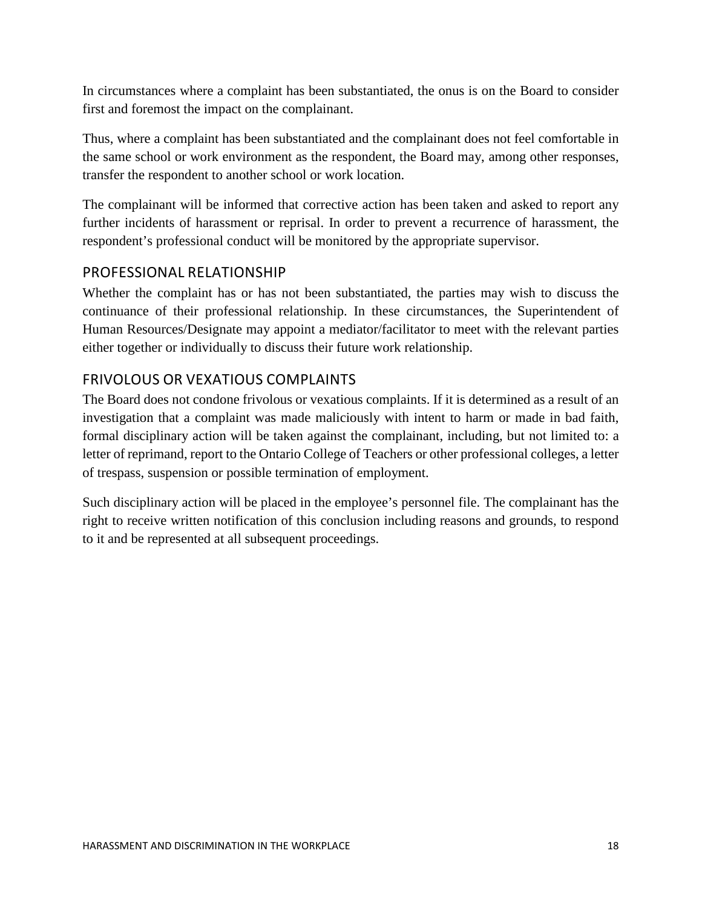In circumstances where a complaint has been substantiated, the onus is on the Board to consider first and foremost the impact on the complainant.

Thus, where a complaint has been substantiated and the complainant does not feel comfortable in the same school or work environment as the respondent, the Board may, among other responses, transfer the respondent to another school or work location.

The complainant will be informed that corrective action has been taken and asked to report any further incidents of harassment or reprisal. In order to prevent a recurrence of harassment, the respondent's professional conduct will be monitored by the appropriate supervisor.

## <span id="page-28-0"></span>PROFESSIONAL RELATIONSHIP

Whether the complaint has or has not been substantiated, the parties may wish to discuss the continuance of their professional relationship. In these circumstances, the Superintendent of Human Resources/Designate may appoint a mediator/facilitator to meet with the relevant parties either together or individually to discuss their future work relationship.

## <span id="page-28-1"></span>FRIVOLOUS OR VEXATIOUS COMPLAINTS

The Board does not condone frivolous or vexatious complaints. If it is determined as a result of an investigation that a complaint was made maliciously with intent to harm or made in bad faith, formal disciplinary action will be taken against the complainant, including, but not limited to: a letter of reprimand, report to the Ontario College of Teachers or other professional colleges, a letter of trespass, suspension or possible termination of employment.

Such disciplinary action will be placed in the employee's personnel file. The complainant has the right to receive written notification of this conclusion including reasons and grounds, to respond to it and be represented at all subsequent proceedings.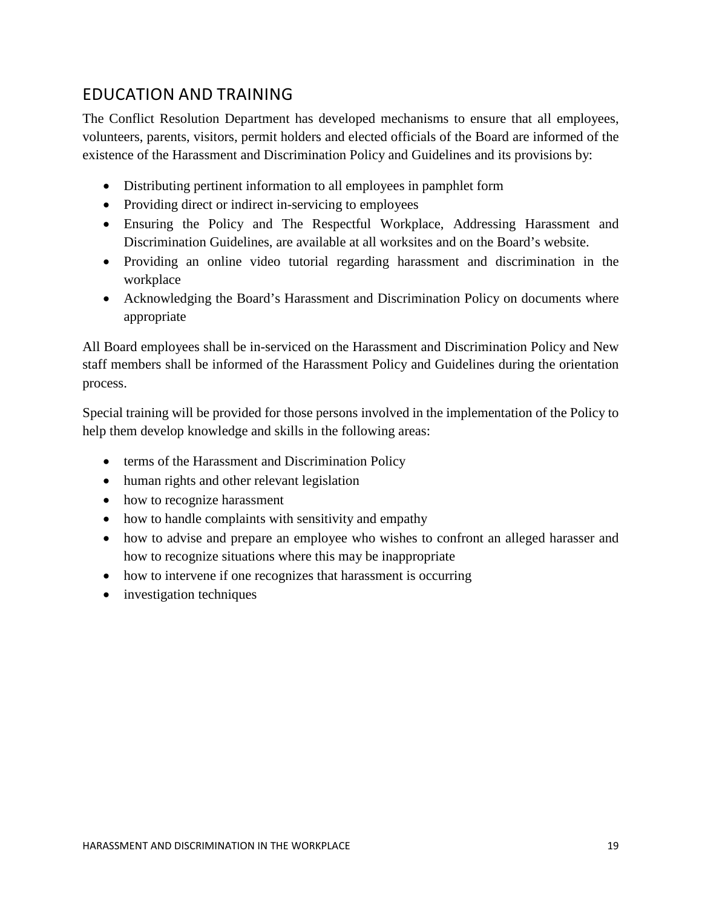# <span id="page-29-0"></span>EDUCATION AND TRAINING

The Conflict Resolution Department has developed mechanisms to ensure that all employees, volunteers, parents, visitors, permit holders and elected officials of the Board are informed of the existence of the Harassment and Discrimination Policy and Guidelines and its provisions by:

- Distributing pertinent information to all employees in pamphlet form
- Providing direct or indirect in-servicing to employees
- Ensuring the Policy and The Respectful Workplace, Addressing Harassment and Discrimination Guidelines, are available at all worksites and on the Board's website.
- Providing an online video tutorial regarding harassment and discrimination in the workplace
- Acknowledging the Board's Harassment and Discrimination Policy on documents where appropriate

All Board employees shall be in-serviced on the Harassment and Discrimination Policy and New staff members shall be informed of the Harassment Policy and Guidelines during the orientation process.

Special training will be provided for those persons involved in the implementation of the Policy to help them develop knowledge and skills in the following areas:

- terms of the Harassment and Discrimination Policy
- human rights and other relevant legislation
- how to recognize harassment
- how to handle complaints with sensitivity and empathy
- how to advise and prepare an employee who wishes to confront an alleged harasser and how to recognize situations where this may be inappropriate
- how to intervene if one recognizes that harassment is occurring
- investigation techniques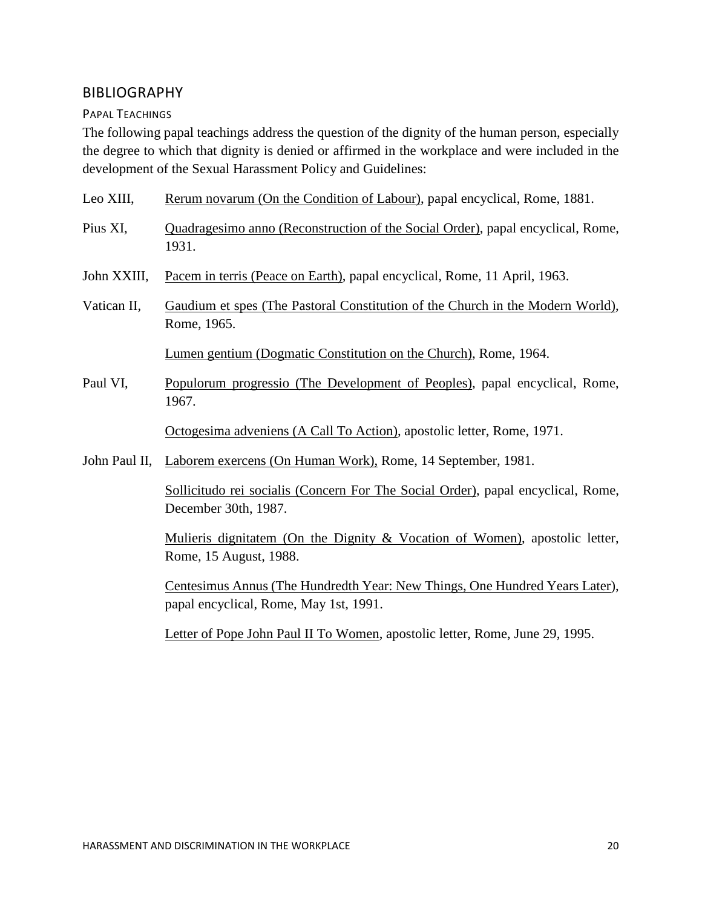#### <span id="page-30-0"></span>BIBLIOGRAPHY

<span id="page-30-1"></span>PAPAL TEACHINGS

The following papal teachings address the question of the dignity of the human person, especially the degree to which that dignity is denied or affirmed in the workplace and were included in the development of the Sexual Harassment Policy and Guidelines:

| Leo XIII,     | Rerum novarum (On the Condition of Labour), papal encyclical, Rome, 1881.                                             |
|---------------|-----------------------------------------------------------------------------------------------------------------------|
| Pius XI,      | Quadragesimo anno (Reconstruction of the Social Order), papal encyclical, Rome,<br>1931.                              |
| John XXIII,   | Pacem in terris (Peace on Earth), papal encyclical, Rome, 11 April, 1963.                                             |
| Vatican II,   | Gaudium et spes (The Pastoral Constitution of the Church in the Modern World),<br>Rome, 1965.                         |
|               | Lumen gentium (Dogmatic Constitution on the Church), Rome, 1964.                                                      |
| Paul VI,      | Populorum progressio (The Development of Peoples), papal encyclical, Rome,<br>1967.                                   |
|               | Octogesima adveniens (A Call To Action), apostolic letter, Rome, 1971.                                                |
| John Paul II, | Laborem exercens (On Human Work), Rome, 14 September, 1981.                                                           |
|               | Sollicitudo rei socialis (Concern For The Social Order), papal encyclical, Rome,<br>December 30th, 1987.              |
|               | Mulieris dignitatem (On the Dignity & Vocation of Women), apostolic letter,<br>Rome, 15 August, 1988.                 |
|               | Centesimus Annus (The Hundredth Year: New Things, One Hundred Years Later),<br>papal encyclical, Rome, May 1st, 1991. |

Letter of Pope John Paul II To Women, apostolic letter, Rome, June 29, 1995.